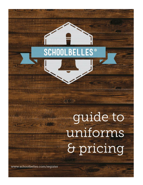# **SCHOOLBELLES<sup>®</sup>**

继续

# guide to uniforms & pricing

www.schoolbelles.com/register

JT I

The Alberta Hotel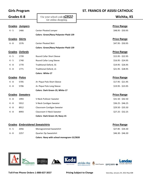F

#### **Girls Program ST. FRANCIS OF ASSISI CATHOLIC**

| <b>Grades K-8</b>    |                       | Use your school code <b>S2820</b>             | Wichita, KS        |
|----------------------|-----------------------|-----------------------------------------------|--------------------|
|                      |                       | for online shopping                           |                    |
|                      | <b>Grades Jumpers</b> |                                               | <b>Price Range</b> |
| $K - 5$              | 1466                  | <b>Center Pleated Jumper</b>                  | \$48.95 - \$50.95  |
|                      |                       | <b>Colors: Green/Navy Polyester Plaid-139</b> |                    |
| <b>Grades Skirts</b> |                       |                                               | <b>Price Range</b> |
| $6 - 8$              | 1576                  | <b>Center Pleated Skirt</b>                   | \$47.95 - \$50.95  |
|                      |                       | <b>Colors: Green/Navy Polyester Plaid-139</b> |                    |
|                      | Grades Oxfords        |                                               | <b>Price Range</b> |
| $K - 5$              | 1739                  | Round Collar Short Sleeve                     | $$15.95 - $22.95$  |
| $K - 5$              | 1740                  | Round Collar Long Sleeve                      | $$16.95 - $24.95$  |
| $K - 8$              | 1770                  | <b>Traditional Oxford, SS</b>                 | \$19.95 - \$26.95  |
| $K - 8$              | 1771                  | <b>Traditional Oxford, LS</b>                 | $$21.95 - $28.95$  |
|                      |                       | Colors: White-17                              |                    |
| Grades Polos         |                       |                                               | <b>Price Range</b> |
| $K - 8$              | 5705                  | A+ Pique Polo Short Sleeve                    | \$17.95 - \$21.95  |
| $K - 8$              | 5706                  | A+ Pique Polo Long Sleeve                     | \$19.95 - \$23.95  |
|                      |                       | Colors: Dark Green-19, White-17               |                    |
|                      | Grades Sweaters       |                                               | <b>Price Range</b> |
| $K - 8$              | 1993                  | V-Neck Pullover Sweater                       | \$31.50 - \$42.50  |
| $K - 8$              | 5912                  | V-Neck Cardigan Sweater                       | $$36.25 - $46.25$  |
| $K - 8$              | 8912                  | Classroom Cardigan Sweater                    | \$29.50 - \$35.50  |
| K - 8                | 8993                  | Classroom V-Neck Sweater                      | $$27.25 - $32.25$  |
|                      |                       | Colors: Dark Green-19, Navy-15                |                    |
|                      |                       |                                               |                    |

|         |      | <b>Grades Embroidered Sweatshirts</b>     | <b>Price Range</b> |
|---------|------|-------------------------------------------|--------------------|
| K - 5   | 2056 | Monogrammed Sweatshirt                    | $$27.85 - $34.30$  |
| $6 - 8$ | 2257 | Quarter Zip Sweatshirt                    | \$46.30 - \$46.30  |
|         |      | Colors: Navy with school monogram-15/2820 |                    |



**Toll-Free Phone Orders 1-888-637-3037 Pricing Subject to Change** Saturday, January 29, 2022 Rep 608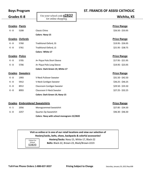| <b>Boys Program</b> |                        |                                                     | <b>ST. FRANCIS OF ASSISI CATHOLIC</b> |  |
|---------------------|------------------------|-----------------------------------------------------|---------------------------------------|--|
| Grades K-8          |                        | Use your school code $$2820$<br>for online shopping | Wichita, KS                           |  |
|                     |                        |                                                     |                                       |  |
| <b>Grades Pants</b> |                        |                                                     | <b>Price Range</b>                    |  |
| K - 8               | 5208                   | Classic Chino                                       | $$26.50 - $33.95$                     |  |
|                     |                        | Colors: Navy-15                                     |                                       |  |
|                     | Grades Oxfords         |                                                     | <b>Price Range</b>                    |  |
| $K - 8$             | 5760                   | <b>Traditional Oxford, SS</b>                       | $$19.95 - $26.95$                     |  |
| K - 8               | 5761                   | <b>Traditional Oxford, LS</b>                       | $$21.95 - $38.75$                     |  |
|                     |                        | Colors: White-17                                    |                                       |  |
| Grades Polos        |                        |                                                     | <b>Price Range</b>                    |  |
| K - 8               | 5705                   | A+ Pique Polo Short Sleeve                          | $$17.95 - $21.95$                     |  |
| K - 8               | 5706                   | A+ Pique Polo Long Sleeve                           | $$19.95 - $23.95$                     |  |
|                     |                        | Colors: Dark Green-19, White-17                     |                                       |  |
|                     | <b>Grades Sweaters</b> |                                                     | <b>Price Range</b>                    |  |
| K - 8               | 1993                   | V-Neck Pullover Sweater                             | $$31.50 - $42.50$                     |  |
| K - 8               | 5912                   | V-Neck Cardigan Sweater                             | $$36.25 - $46.25$                     |  |
| K - 8               | 8912                   | Classroom Cardigan Sweater                          | \$29.50 - \$35.50                     |  |
| K - 8               | 8993                   | Classroom V-Neck Sweater                            | $$27.25 - $32.25$                     |  |
|                     |                        | Colors: Dark Green-19, Navy-15                      |                                       |  |
|                     |                        |                                                     |                                       |  |

|       | <b>Grades Embroidered Sweatshirts</b> |                                           | <b>Price Range</b> |
|-------|---------------------------------------|-------------------------------------------|--------------------|
| K - 5 | 2056                                  | Monogrammed Sweatshirt                    | \$27.85 - \$34.30  |
| 6 - 8 | 2257                                  | Quarter Zip Sweatshirt                    | \$46.30 - \$46.30  |
|       |                                       | Colors: Navy with school monogram-15/2820 |                    |

|                                           | Visit us online or in one of our retail locations and view our selection of<br>Hosiery/socks, belts, shoes, backpacks & colorful accessories! |
|-------------------------------------------|-----------------------------------------------------------------------------------------------------------------------------------------------|
| Colors For<br>School<br>S <sub>2820</sub> | Hosiery/Socks: Navy-15, White-17, Black-22<br>Belts: Black-22, Brown-23, Black/Brown-2223                                                     |